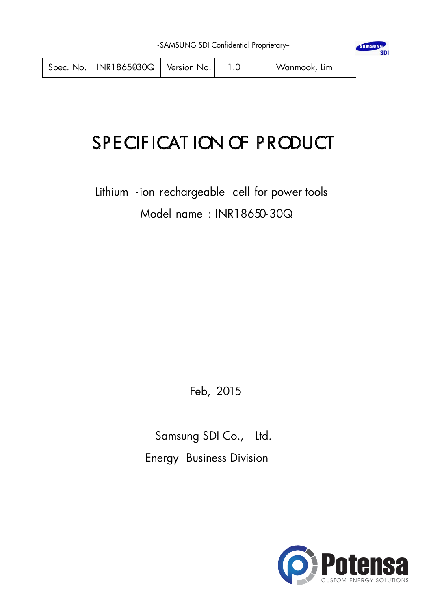# SPECIFICATION OF PRODUCT

Lithium -ion rechargeable cell for power tools Model name : INR18650-30Q

Feb, 2015

Samsung SDI Co., Ltd. Energy Business Division



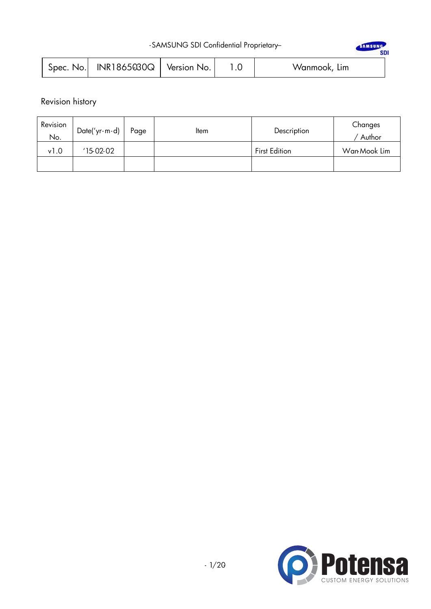| -SAMSUNG SDI Confidential Proprietary- |
|----------------------------------------|
|----------------------------------------|

| -SAMSUNG SDI Confidential Proprietary- |                             |  |  |              |  |
|----------------------------------------|-----------------------------|--|--|--------------|--|
| Spec. No.                              | $INR1865030Q$   Version No. |  |  | Wanmook, Lim |  |

Revision history

| Revision<br>No. | Date('yr-m-d) | Page | ltem | Description          | Changes<br>Author |
|-----------------|---------------|------|------|----------------------|-------------------|
| v1.0            | '15.02.02     |      |      | <b>First Edition</b> | Wan Mook Lim      |
|                 |               |      |      |                      |                   |

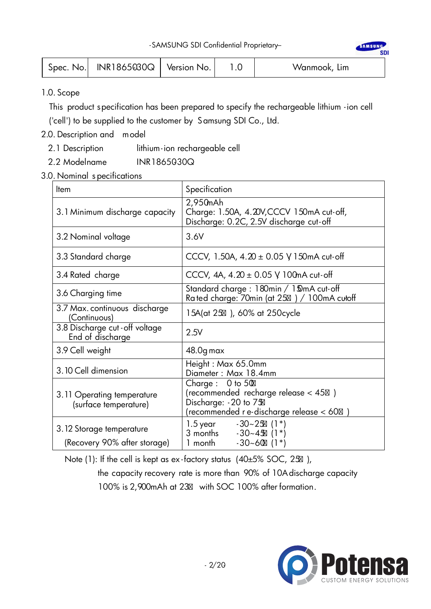|  | Spec. No. $\vert$ INR1865030Q $\vert$ Version No. $\vert$ |  |  | Wanmook, Lim |
|--|-----------------------------------------------------------|--|--|--------------|
|--|-----------------------------------------------------------|--|--|--------------|

### 1.0. Scope

This product specification has been prepared to specify the rechargeable lithium -ion cell

('cell') to be supplied to the customer by Samsung SDI Co., Ltd.

# 2.0. Description and model

- 2.1 Description lithium-ion rechargeable cell
- 2.2 Modelname INR1865030Q
- 3.0. Nominal s pecifications

| <b>Item</b>                                              | Specification                                                                                                                 |
|----------------------------------------------------------|-------------------------------------------------------------------------------------------------------------------------------|
| 3.1 Minimum discharge capacity                           | 2,950mAh<br>Charge: 1.50A, 4.20V, CCCV 150mA cut-off,<br>Discharge: 0.2C, 2.5V discharge cut-off                              |
| 3.2 Nominal voltage                                      | 3.6V                                                                                                                          |
| 3.3 Standard charge                                      | CCCV, 1.50A, $4.20 \pm 0.05$ V 150mA cut-off                                                                                  |
| 3.4 Rated charge                                         | CCCV, 4A, $4.20 \pm 0.05$ V 100mA cut-off                                                                                     |
| 3.6 Charging time                                        | Standard charge: 180min / 150mA cut-off<br>Rated charge: 70min (at 25) / 100mA cutoff                                         |
| 3.7 Max. continuous discharge<br>(Continuous)            | 15A(at 25 ), 60% at 250 cycle                                                                                                 |
| 3.8 Discharge cut - off voltage<br>End of discharge      | 2.5V                                                                                                                          |
| 3.9 Cell weight                                          | 48.0g max                                                                                                                     |
| 3.10 Cell dimension                                      | Height: Max 65.0mm<br>Diameter: Max 18.4mm                                                                                    |
| 3.11 Operating temperature<br>(surface temperature)      | Charge $: 0$ to 50<br>(recommended recharge release < 45 )<br>Discharge: -20 to 75<br>recommended r e-discharge release < 60) |
| 3.12 Storage temperature<br>(Recovery 90% after storage) | 1.5 year $-30-25$ (1*)<br>3 months - 30~45 (1*)<br>1 month $-30-60$ (1 <sup>*</sup> )                                         |

Note (1): If the cell is kept as ex-factory status (40±5% SOC, 25),

 the capacity recovery rate is more than 90% of 10A discharge capacity 100% is 2,900mAh at 23 with SOC 100% after formation.



SAMSUN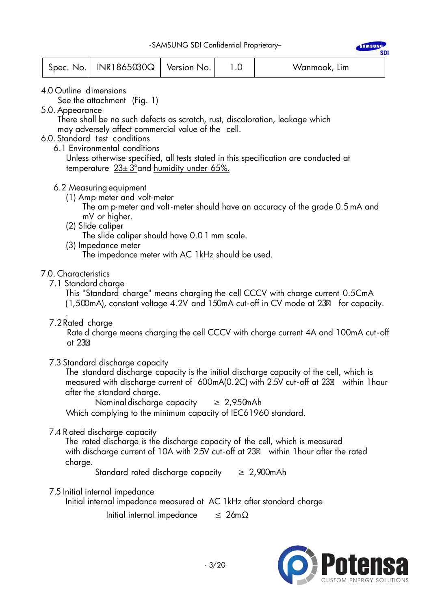|  | $Spec.$ No. $ $ INR1865030Q $ $ Version No. |  |  | Wanmook, Lim |  |
|--|---------------------------------------------|--|--|--------------|--|
|--|---------------------------------------------|--|--|--------------|--|

- 4.0 Outline dimensions
	- See the attachment (Fig. 1)
- 5.0. Appearance

 There shall be no such defects as scratch, rust, discoloration, leakage which may adversely affect commercial value of the cell.

- 6.0. Standard test conditions
	- 6.1 Environmental conditions

 Unless otherwise specified, all tests stated in this specification are conducted at temperature  $23\pm 3^\circ$  and humidity under 65%.

### 6.2 Measuring equipment

(1) Amp-meter and volt-meter

 The am p-meter and volt -meter should have an accuracy of the grade 0.5 mA and mV or higher.

(2) Slide caliper

The slide caliper should have 0.0 1 mm scale.

(3) Impedance meter

The impedance meter with AC 1kHz should be used.

### 7.0. Characteristics

7.1 Standard charge

 This "Standard charge" means charging the cell CCCV with charge current 0.5CmA (1,500mA), constant voltage 4.2V and 150mA cut-off in CV mode at 23 for capacity.

. 7.2Rated charge

Rate d charge means charging the cell CCCV with charge current 4A and 100mA cut -off at 23

7.3 Standard discharge capacity

 The standard discharge capacity is the initial discharge capacity of the cell, which is measured with discharge current of 600mA(0.2C) with 2.5V cut -off at 23 within 1hour after the standard charge.

Nominal discharge capacity  $\geq 2.950$ mAh

Which complying to the minimum capacity of IEC61960 standard.

### 7.4 R ated discharge capacity

The rated discharge is the discharge capacity of the cell, which is measured with discharge current of 10A with 2.5V cut-off at 23 within 1 hour after the rated charge.

Standard rated discharge capacity  $\geq 2,900$ mAh

#### 7.5 Initial internal impedance

Initial internal impedance measured at AC 1kHz after standard charge

Initial internal impedance  $\leq 26 \text{m}\Omega$ 

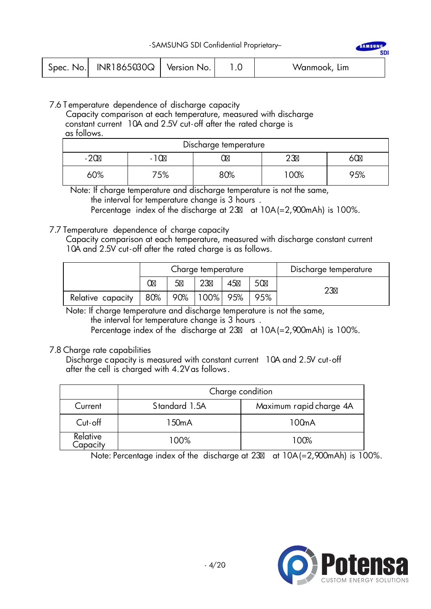|  | Spec. No. $ NR1865030Q $ Version No. |  |  | Wanmook, Lim |  |
|--|--------------------------------------|--|--|--------------|--|
|--|--------------------------------------|--|--|--------------|--|

## 7.6 T emperature dependence of discharge capacity

 Capacity comparison at each temperature, measured with discharge constant current 10A and 2.5V cut -off after the rated charge is as follows.

| Discharge temperature |    |     |     |     |  |  |
|-----------------------|----|-----|-----|-----|--|--|
| $\sim$<br>ou<br>$-LU$ |    |     |     |     |  |  |
| 60%                   | 5% | 80% | 00% | 75% |  |  |

 Note: If charge temperature and discharge temperature is not the same, the interval for temperature change is 3 hours .

Percentage index of the discharge at 23 at 10A(=2,900mAh) is 100%.

### 7.7 Temperature dependence of charge capacity

Capacity comparison at each temperature, measured with discharge constant current 10A and 2.5V cut -off after the rated charge is as follows.

|                   | Charge temperature |     |           |    | Discharge temperature |    |
|-------------------|--------------------|-----|-----------|----|-----------------------|----|
|                   |                    |     | ററ        | 45 | 50                    | າລ |
| Relative capacity | 80%                | 90% | 100%  95% |    | 95%                   |    |

 Note: If charge temperature and discharge temperature is not the same, the interval for temperature change is 3 hours . Percentage index of the discharge at 23 at 10A (= 2,900mAh) is 100%.

### 7.8 Charge rate capabilities

Discharge capacity is measured with constant current 10A and 2.5V cut-off after the cell is charged with 4.2V as follows.

|                      | Charge condition |                         |  |  |  |  |
|----------------------|------------------|-------------------------|--|--|--|--|
| Current              | Standard 1.5A    | Maximum rapid charge 4A |  |  |  |  |
| $Cut$ -off           | 150mA            | 100mA                   |  |  |  |  |
| Relative<br>Capacity | 100%             | 100%                    |  |  |  |  |

Note: Percentage index of the discharge at 23 at 10A(=2,900mAh) is 100%.



SAMSUN

sni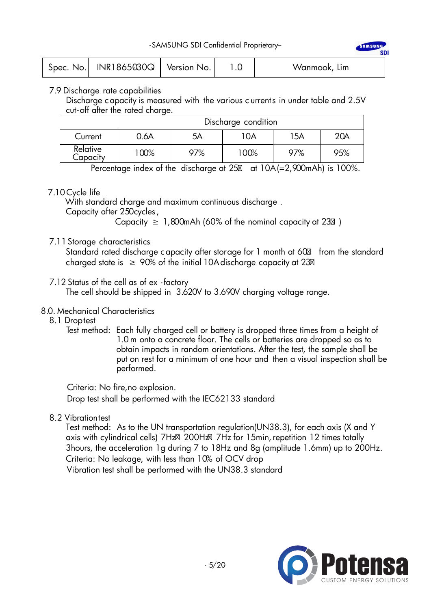| Spec. No. $\vert$ INR1865030Q $\vert$ Version No. $\vert$ |  |  | Wanmook, Lim |
|-----------------------------------------------------------|--|--|--------------|
|-----------------------------------------------------------|--|--|--------------|

7.9 Discharge rate capabilities

Discharge capacity is measured with the various c urrents in under table and 2.5V cut-off after the rated charge.

|                      | Discharge condition |     |      |     |     |  |  |  |
|----------------------|---------------------|-----|------|-----|-----|--|--|--|
| Current              | 0.6A                | 5A  | 10A  | 15A | 20A |  |  |  |
| Relative<br>Capacity | 100%                | 97% | 100% | 97% | 95% |  |  |  |

Percentage index of the discharge at 25 at 10A(=2,900mAh) is 100%.

### 7.10 Cycle life

With standard charge and maximum continuous discharge .

Capacity after 250cycles,

Capacity  $\geq 1,800$ mAh (60% of the nominal capacity at 23)

### 7.11 Storage characteristics

Standard rated discharge c apacity after storage for 1 month at 60 from the standard charged state is  $\geq 90\%$  of the initial 10A discharge capacity at 23

### 7.12 Status of the cell as of ex -factory

The cell should be shipped in 3.620V to 3.690V charging voltage range.

### 8.0. Mechanical Characteristics

- 8.1 Droptest
	- Test method: Each fully charged cell or battery is dropped three times from a height of 1.0 m onto a concrete floor. The cells or batteries are dropped so as to obtain impacts in random orientations. After the test, the sample shall be put on rest for a minimum of one hour and then a visual inspection shall be performed.

Criteria: No fire,no explosion. Drop test shall be performed with the IEC62133 standard

### 8.2 Vibrationtest

Test method: As to the UN transportation regulation(UN38.3), for each axis (X and Y axis with cylindrical cells) 7Hz 200Hz 7Hz for 15min,repetition 12 times totally 3hours, the acceleration 1g during 7 to 18Hz and 8g (amplitude 1.6mm) up to 200Hz. Criteria: No leakage, with less than 10% of OCV drop Vibration test shall be performed with the UN38.3 standard

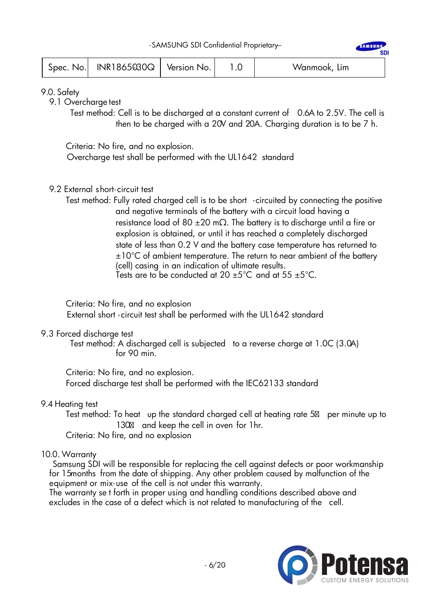| $Spec. No.$ INR1865030Q Version No. |  |  | Wanmook, Lim |
|-------------------------------------|--|--|--------------|
|-------------------------------------|--|--|--------------|

9.0. Safety

9.1 Overcharge test

Test method: Cell is to be discharged at a constant current of 0.6A to 2.5V. The cell is then to be charged with a 20V and 20A. Charging duration is to be 7 h.

Criteria: No fire, and no explosion.

Overcharge test shall be performed with the UL1642 standard

- 9.2 External short- circuit test
	- Test method: Fully rated charged cell is to be short circuited by connecting the positive and negative terminals of the battery with a circuit load having a resistance load of 80  $\pm$ 20 m $\Omega$ . The battery is to discharge until a fire or explosion is obtained, or until it has reached a completely discharged state of less than 0.2 V and the battery case temperature has returned to  $\pm 10^{\circ}$ C of ambient temperature. The return to near ambient of the battery (cell) casing in an indication of ultimate results. Tests are to be conducted at 20  $\pm$ 5°C and at 55  $\pm$ 5°C.

Criteria: No fire, and no explosion

External short - circuit test shall be performed with the UL1642 standard

### 9.3 Forced discharge test

Test method: A discharged cell is subjected to a reverse charge at 1.0C (3.0A) for 90 min.

 Criteria: No fire, and no explosion. Forced discharge test shall be performed with the IEC62133 standard

### 9.4 Heating test

Test method: To heat up the standard charged cell at heating rate 5 per minute up to 130 and keep the cell in oven for 1hr.

Criteria: No fire, and no explosion.

### 10.0. Warranty

Samsung SDI will be responsible for replacing the cell against defects or poor workmanship for 15months from the date of shipping. Any other problem caused by malfunction of the equipment or mix-use of the cell is not under this warranty.

The warranty se t forth in proper using and handling conditions described above and excludes in the case of a defect which is not related to manufacturing of the cell.

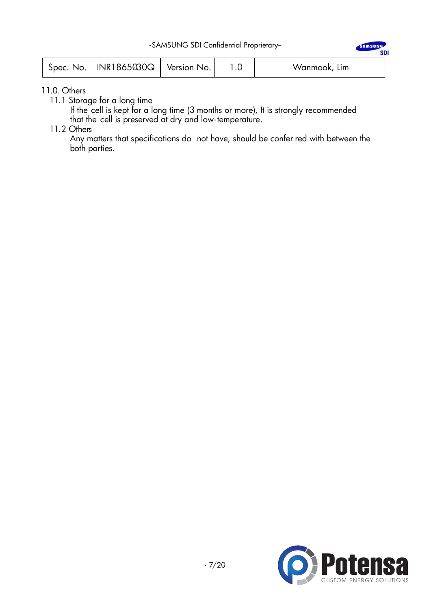| Spec. No.   INR1865030Q   Version No. |  |  | Wanmook, Lim |
|---------------------------------------|--|--|--------------|
|---------------------------------------|--|--|--------------|

11.0. Others

11.1 Storage for a long time

 If the cell is kept for a long time (3 months or more), It is strongly recommended that the cell is preserved at dry and low- temperature.

11.2 Others

 Any matters that specifications do not have, should be confer red with between the both parties.



SAMSUNG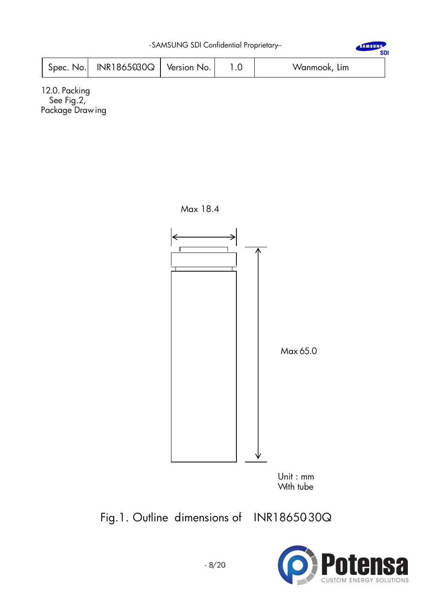| -SAMSUNG SDI Confidential Proprietary- |                                          |  |  |              |  |  |
|----------------------------------------|------------------------------------------|--|--|--------------|--|--|
|                                        | Spec. No.   INR1865030 $Q$   Version No. |  |  | Wanmook, Lim |  |  |

12.0. Packing See Fig.2, Package Drawing



Fig.1. Outline dimensions of INR18650-30Q

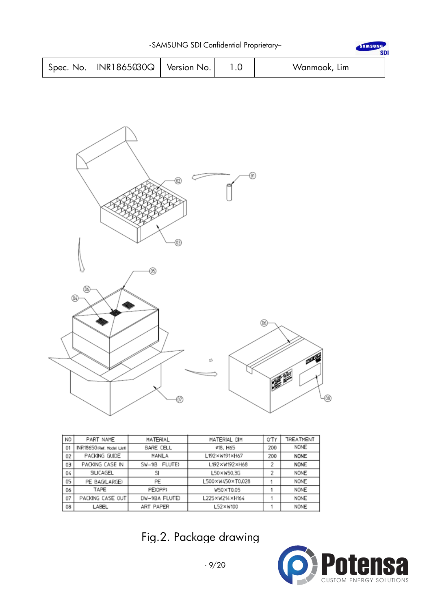|  | $Spec. No.$ INR1865030Q   Version No. |  | Wanmook, Lim |
|--|---------------------------------------|--|--------------|

-SAMSUNG SDI Confidential Proprietary-



| N <sub>O</sub> | PART NAME                  | <b>MATERIAL</b>    | MATERIAL DIM     | O'TY | TREATMENT   |
|----------------|----------------------------|--------------------|------------------|------|-------------|
| 01             | INR18650 (Ref. Model List) | <b>BARE CELL</b>   | #18, H65         | 200  | <b>NONE</b> |
| 02             | PACKING GUIDE              | MANILA             | L192×W191×H67    | 200  | <b>NONE</b> |
| 03             | PACKING CASE IN            | FLUTE)<br>$SW-10B$ | L192×W192×H68    | 2    | <b>NONE</b> |
| 04             | SILICAGEL                  | SI                 | 50×W50.3G        | 2    | NONE        |
| 05             | PE BAG(LARGE)              | PE                 | L500×W450×T0.028 |      | <b>NONE</b> |
| 06             | TAPE                       | PE(OPP)            | W50×T0.05        |      | <b>NONE</b> |
| 07             | PACKING CASE OUT           | DW-10BA FLUTE)     | 225×W214×H164    |      | <b>NONE</b> |
| 08             | LABEL                      | <b>ART PAPER</b>   | L52×W100         |      | NONE        |

Fig.2. Package drawing



SAMSUNG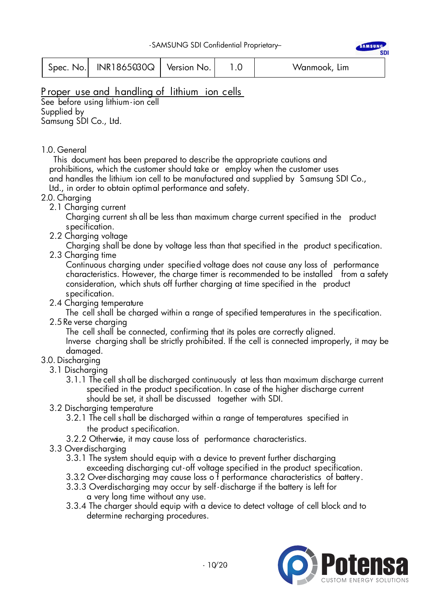|  | Spec. No. $\vert$ INR1865030Q $\vert$ Version No. |  |  | Wanmook, Lim |
|--|---------------------------------------------------|--|--|--------------|
|--|---------------------------------------------------|--|--|--------------|

# P roper use and handling of lithium ion cells

See before using lithium-ion cell Supplied by Samsung SDI Co., Ltd.

### 1.0. General

 This document has been prepared to describe the appropriate cautions and prohibitions, which the customer should take or employ when the customer uses and handles the lithium ion cell to be manufactured and supplied by Samsung SDI Co., Ltd., in order to obtain optimal performance and safety.

# 2.0. Charging

2.1 Charging current

 Charging current sh all be less than maximum charge current specified in the product specification.

2.2 Charging voltage

Charging shall be done by voltage less than that specified in the product specification.

2.3 Charging time

 Continuous charging under specified voltage does not cause any loss of performance characteristics. However, the charge timer is recommended to be installed from a safety consideration, which shuts off further charging at time specified in the product specification.

2.4 Charging temperature

The cell shall be charged within a range of specified temperatures in the specification.

2.5Re verse charging

The cell shall be connected, confirming that its poles are correctly aligned.

 Inverse charging shall be strictly prohibited. If the cell is connected improperly, it may be damaged.

# 3.0. Discharging

- 3.1 Discharging
	- 3.1.1 The cell shall be discharged continuously at less than maximum discharge current specified in the product specification. In case of the higher discharge current should be set, it shall be discussed together with SDI.
- 3.2 Discharging temperature
	- 3.2.1 The cell shall be discharged within a range of temperatures specified in the product specification.
	- 3.2.2 Otherwsie, it may cause loss of performance characteristics.
- 3.3 Overdischarging
	- 3.3.1 The system should equip with a device to prevent further discharging
		- exceeding discharging cut -off voltage specified in the product specification.
	- 3.3.2 Over-discharging may cause loss o f performance characteristics of battery. 3.3.3 Overdischarging may occur by self-discharge if the battery is left for
		- a very long time without any use.
	- 3.3.4 The charger should equip with a device to detect voltage of cell block and to determine recharging procedures.



**AMSUNG SDI**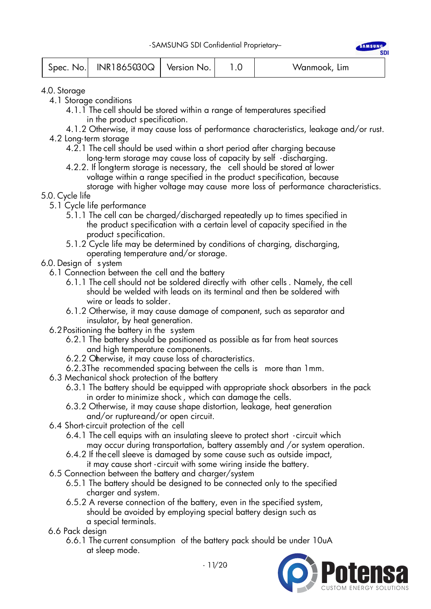|  | Spec. No. $ $ INR1865030Q $ $ Version No. |  |  | Wanmook, Lim |
|--|-------------------------------------------|--|--|--------------|
|--|-------------------------------------------|--|--|--------------|

4.0. Storage

- 4.1 Storage conditions
	- 4.1.1 The cell should be stored within a range of temperatures specified in the product specification.
- 4.1.2 Otherwise, it may cause loss of performance characteristics, leakage and/or rust. 4.2 Long- term storage
	- 4.2.1 The cell should be used within a short period after charging because long- term storage may cause loss of capacity by self -discharging.
	- 4.2.2. If longterm storage is necessary, the cell should be stored at lower voltage within a range specified in the product specification, because storage with higher voltage may cause more loss of performance characteristics.

### 5.0. Cycle life

- 5.1 Cycle life performance
	- 5.1.1 The cell can be charged/discharged repeatedly up to times specified in the product specification with a certain level of capacity specified in the product specification.
	- 5.1.2 Cycle life may be determined by conditions of charging, discharging, operating temperature and/or storage.
- 6.0. Design of s ystem
	- 6.1 Connection between the cell and the battery
		- 6.1.1 The cell should not be soldered directly with other cells . Namely, the cell should be welded with leads on its terminal and then be soldered with wire or leads to solder.
		- 6.1.2 Otherwise, it may cause damage of component, such as separator and insulator, by heat generation.
	- 6.2Positioning the battery in the system
		- 6.2.1 The battery should be positioned as possible as far from heat sources and high temperature components.
		- 6.2.2 Oherwise, it may cause loss of characteristics.
		- 6.2.3The recommended spacing between the cells is more than 1mm.
	- 6.3 Mechanical shock protection of the battery
		- 6.3.1 The battery should be equipped with appropriate shock absorbers in the pack in order to minimize shock , which can damage the cells.
		- 6.3.2 Otherwise, it may cause shape distortion, leakage, heat generation and/or ruptureand/or open circuit.
	- 6.4 Short- circuit protection of the cell
		- 6.4.1 The cell equips with an insulating sleeve to protect short circuit which may occur during transportation, battery assembly and /or system operation.
		- 6.4.2 If thecell sleeve is damaged by some cause such as outside impact, it may cause short - circuit with some wiring inside the battery.
	- 6.5 Connection between the battery and charger/system
		- 6.5.1 The battery should be designed to be connected only to the specified charger and system.
		- 6.5.2 A reverse connection of the battery, even in the specified system, should be avoided by employing special battery design such as a special terminals.
	- 6.6 Pack design
		- 6.6.1 The current consumption of the battery pack should be under 10uA at sleep mode.

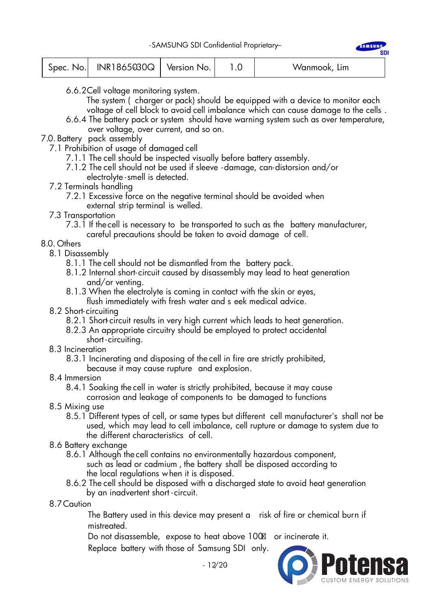|  | Spec. No. NR1865030Q Version No. |  |  | Wanmook, Lim |  |
|--|----------------------------------|--|--|--------------|--|
|--|----------------------------------|--|--|--------------|--|

- 6.6.2Cell voltage monitoring system.
	- The system (charger or pack) should be equipped with a device to monitor each voltage of cell block to avoid cell imbalance which can cause damage to the cells .
- 6.6.4 The battery pack or system should have warning system such as over temperature, over voltage, over current, and so on.
- 7.0. Battery pack assembly
	- 7.1 Prohibition of usage of damaged cell
		- 7.1.1 The cell should be inspected visually before battery assembly.
		- 7.1.2 The cell should not be used if sleeve -damage, can-distorsion and/or electrolyte -smell is detected.
	- 7.2 Terminals handling
		- 7.2.1 Excessive force on the negative terminal should be avoided when external strip terminal is welled.
	- 7.3 Transportation

 7.3.1 If thecell is necessary to be transported to such as the battery manufacturer, careful precautions should be taken to avoid damage of cell.

- 8.0. Others
	- 8.1 Disassembly
		- 8.1.1 The cell should not be dismantled from the battery pack.
		- 8.1.2 Internal short- circuit caused by disassembly may lead to heat generation and/or venting.
		- 8.1.3 When the electrolyte is coming in contact with the skin or eyes, flush immediately with fresh water and s eek medical advice.
	- 8.2 Short- circuiting
		- 8.2.1 Short-circuit results in very high current which leads to heat generation.
		- 8.2.3 An appropriate circuitry should be employed to protect accidental short - circuiting.
	- 8.3 Incineration
		- 8.3.1 Incinerating and disposing of the cell in fire are strictly prohibited,
			- because it may cause rupture and explosion.
	- 8.4 Immersion

 8.4.1 Soaking the cell in water is strictly prohibited, because it may cause corrosion and leakage of components to be damaged to functions

- 8.5 Mixing use
	- 8.5.1 Different types of cell, or same types but different cell manufacturer's shall not be used, which may lead to cell imbalance, cell rupture or damage to system due to the different characteristics of cell.
- 8.6 Battery exchange
	- 8.6.1 Although the cell contains no environmentally hazardous component, such as lead or cadmium , the battery shall be disposed according to the local regulations when it is disposed.
	- 8.6.2 The cell should be disposed with a discharged state to avoid heat generation by an inadvertent short - circuit.
- 8.7Caution

The Battery used in this device may present a risk of fire or chemical burn if mistreated.

Do not disassemble, expose to heat above 100 or incinerate it.

Replace battery with those of Samsung SDI only.

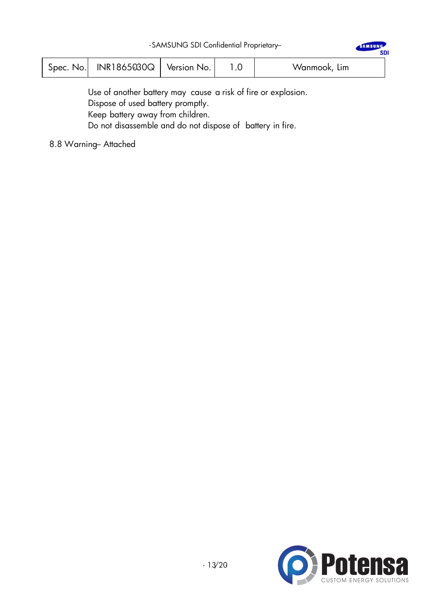| Spec.<br>No. | INR1865030Q | Version No. |  | Wanmook, Lim |  |
|--------------|-------------|-------------|--|--------------|--|
|--------------|-------------|-------------|--|--------------|--|

Use of another battery may cause a risk of fire or explosion. Dispose of used battery promptly. Keep battery away from children. Do not disassemble and do not dispose of battery in fire.

8.8 Warning– Attached



SAMSUNG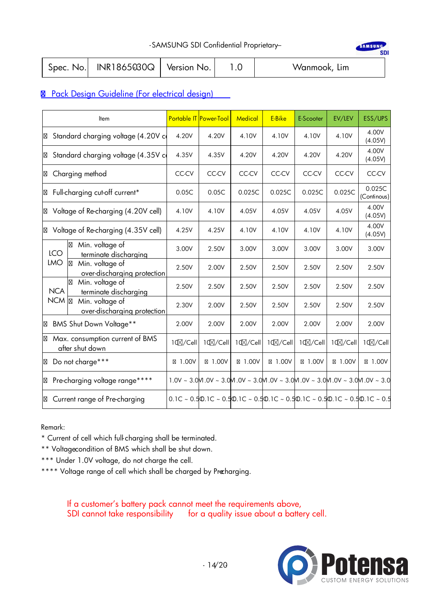-SAMSUNG SDI Confidential Proprietary-

|  | $Spec.$ No. $ NR1865030Q $ Version No. |  |  | Wanmook, Lim |
|--|----------------------------------------|--|--|--------------|
|--|----------------------------------------|--|--|--------------|

# **8** Pack Design Guideline (For electrical design)

|            | Item                                               |          | Portable IT Power-Tool | <b>Medical</b> | E-Bike   | E-Scooter | EV/LEV   | ESS/UPS                                                                                                                      |
|------------|----------------------------------------------------|----------|------------------------|----------------|----------|-----------|----------|------------------------------------------------------------------------------------------------------------------------------|
|            | Standard charging voltage (4.20V co                | 4.20V    | 4.20V                  | 4.10V          | 4.10V    | 4.10V     | 4.10V    | 4.00V<br>(4.05V)                                                                                                             |
|            | Standard charging voltage (4.35V co                | 4.35V    | 4.35V                  | 4.20V          | 4.20V    | 4.20V     | 4.20V    | 4.00V<br>(4.05V)                                                                                                             |
|            | Charging method                                    | CC-CV    | CC-CV                  | CC-CV          | CC-CV    | CC-CV     | CC-CV    | CC-CV                                                                                                                        |
|            | Full-charging cut-off current*                     | 0.05C    | 0.05C                  | 0.025C         | 0.025C   | 0.025C    | 0.025C   | 0.025C<br>(Continous)                                                                                                        |
|            | Voltage of Re-charging (4.20V cell)                | 4.10V    | 4.10V                  | 4.05V          | 4.05V    | 4.05V     | 4.05V    | 4.00V<br>(4.05V)                                                                                                             |
|            | Voltage of Re-charging (4.35V cell)                | 4.25V    | 4.25V                  | 4.10V          | 4.10V    | 4.10V     | 4.10V    | 4.00V<br>(4.05V)                                                                                                             |
| <b>LCO</b> | Min. voltage of<br>terminate discharging           | 3.00V    | 2.50V                  | 3.00V          | 3.00V    | 3.00V     | 3.00V    | 3.00V                                                                                                                        |
| <b>LMO</b> | Min. voltage of<br>over-discharging protection     | 2.50V    | 2.00V                  | 2.50V          | 2.50V    | 2.50V     | 2.50V    | 2.50V                                                                                                                        |
| <b>NCA</b> | Min. voltage of<br>terminate discharging           | 2.50V    | 2.50V                  | 2.50V          | 2.50V    | 2.50V     | 2.50V    | 2.50V                                                                                                                        |
| <b>NCM</b> | Min. voltage of<br>over-discharging protection     | 2.30V    | 2.00V                  | 2.50V          | 2.50V    | 2.50V     | 2.50V    | 2.50V                                                                                                                        |
|            | BMS Shut Down Voltage**                            | 2.00V    | 2.00V                  | 2.00V          | 2.00V    | 2.00V     | 2.00V    | 2.00V                                                                                                                        |
|            | Max. consumption current of BMS<br>after shut down | 10⊠/Cell | 10⊠/Cell               | 10⊠/Cell       | 10⊠/Cell | 10⊠/Cell  | 10⊠/Cell | 10⊠/Cell                                                                                                                     |
|            | Do not charge***                                   | 1.00V    | 1.00V                  | 1.00V          | 1.00V    | 1.00V     | 1.00V    | 1.00V                                                                                                                        |
|            | Pre-charging voltage range****                     |          |                        |                |          |           |          | $1.0V \sim 3.0$ M.0V ~ 3.0M.0V ~ 3.0M.0V ~ 3.0M.0V ~ 3.0M.0V ~ 3.0M.0V ~ 3.0                                                 |
|            | Current range of Pre-charging                      |          |                        |                |          |           |          | 0.1C ~ 0.5 $\omega$ .1C ~ 0.5 $\omega$ .1C ~ 0.5 $\omega$ .1C ~ 0.5 $\omega$ .1C ~ 0.5 $\omega$ .1C ~ 0.5 $\omega$ .1C ~ 0.5 |

Remark:

- \* Current of cell which full- charging shall be terminated.
- \*\* Voltagecondition of BMS which shall be shut down.
- \*\*\* Under 1.0V voltage, do not charge the cell.
- \*\*\*\* Voltage range of cell which shall be charged by Precharging.

If a customer's battery pack cannot meet the requirements above, SDI cannot take responsibility for a quality issue about a battery cell.



SAMSUNG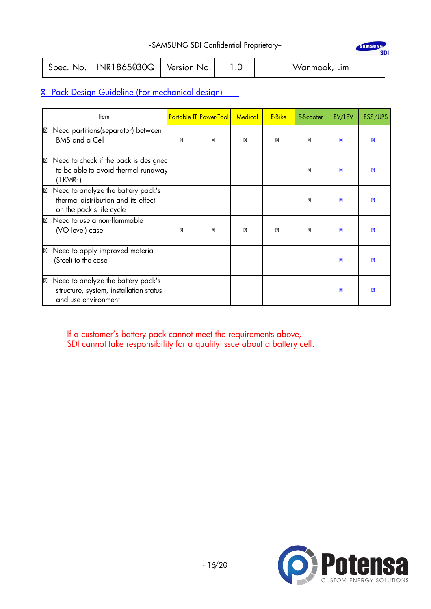| -SAMSUNG SDI Confidential Proprietary- |  |  |
|----------------------------------------|--|--|
|----------------------------------------|--|--|

|  | Spec. No. $\vert$ INR1865030Q $\vert$ Version No. |  |  | Wanmook, Lim |
|--|---------------------------------------------------|--|--|--------------|
|--|---------------------------------------------------|--|--|--------------|

# Pack Design Guideline (For mechanical design)

| Item                                                                                                  | Portable IT Power-Tool | <b>Medical</b> | E-Bike | E-Scooter | EV/LEV | ESS/UPS |
|-------------------------------------------------------------------------------------------------------|------------------------|----------------|--------|-----------|--------|---------|
| Need partitions (separator) between<br><b>BMS</b> and a Cell                                          |                        |                |        |           |        |         |
| Need to check if the pack is designed<br>to be able to avoid thermal runaway<br>(1KWh)                |                        |                |        |           |        |         |
| Need to analyze the battery pack's<br>thermal distribution and its effect<br>on the pack's life cycle |                        |                |        |           |        |         |
| Need to use a non-flammable<br>(VO level) case                                                        |                        |                |        |           |        |         |
| Need to apply improved material<br>(Steel) to the case                                                |                        |                |        |           |        |         |
| Need to analyze the battery pack's<br>structure, system, installation status<br>and use environment   |                        |                |        |           |        |         |

If a customer's battery pack cannot meet the requirements above, SDI cannot take responsibility for a quality issue about a battery cell.



SAMSUNG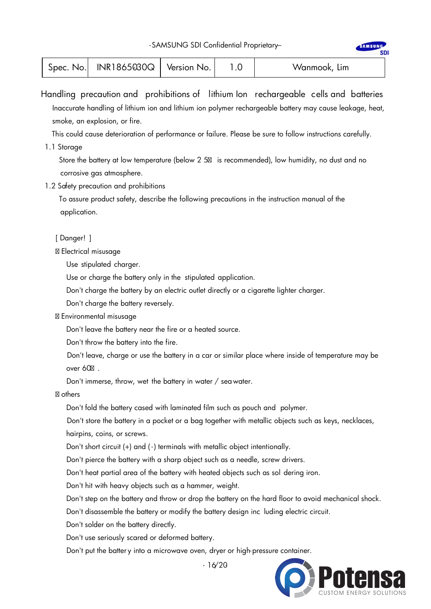|  | Spec. No.   INR1865030Q   \ | Version No. |  | Wanmook, Lim |  |
|--|-----------------------------|-------------|--|--------------|--|
|--|-----------------------------|-------------|--|--------------|--|

Handling precaution and prohibitions of lithium Ion rechargeable cells and batteries Inaccurate handling of lithium ion and lithium ion polymer rechargeable battery may cause leakage, heat, smoke, an explosion, or fire.

This could cause deterioration of performance or failure. Please be sure to follow instructions carefully.

1.1 Storage

 Store the battery at low temperature (below 2 5 is recommended), low humidity, no dust and no corrosive gas atmosphere.

1.2 Safety precaution and prohibitions

 To assure product safety, describe the following precautions in the instruction manual of the application.

[ Danger! ]

Electrical misusage

Use stipulated charger.

Use or charge the battery only in the stipulated application.

Don't charge the battery by an electric outlet directly or a cigarette lighter charger.

Don't charge the battery reversely.

Environmental misusage

Don't leave the battery near the fire or a heated source.

Don't throw the battery into the fire.

Don't leave, charge or use the battery in a car or similar place where inside of temperature may be over 60 .

Don't immerse, throw, wet the battery in water / seawater.

others

Don't fold the battery cased with laminated film such as pouch and polymer.

Don't store the battery in a pocket or a bag together with metallic objects such as keys, necklaces, hairpins, coins, or screws.

Don't short circuit (+) and ( -) terminals with metallic object intentionally.

Don't pierce the battery with a sharp object such as a needle, screw drivers.

Don't heat partial area of the battery with heated objects such as sol dering iron.

Don't hit with heavy objects such as a hammer, weight.

Don't step on the battery and throw or drop the battery on the hard floor to avoid mechanical shock.

Don't disassemble the battery or modify the battery design inc luding electric circuit.

Don't solder on the battery directly.

Don't use seriously scared or deformed battery.

Don't put the batter y into a microwave oven, dryer or high-pressure container.



**AMSUN** 

 $-16/20$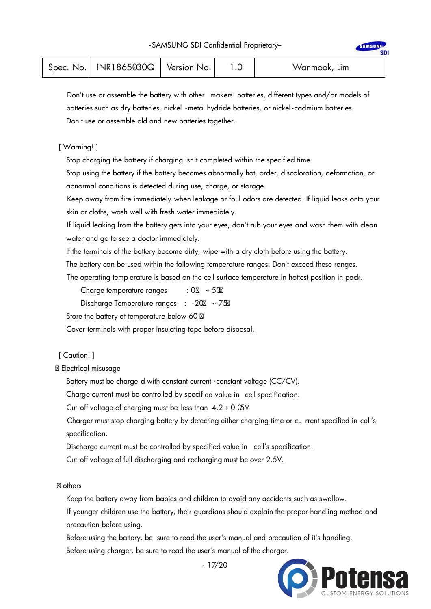| $Spec.$ No.   INR1865030 $Q$   Version No. |  |  | Wanmook, Lim |
|--------------------------------------------|--|--|--------------|
|--------------------------------------------|--|--|--------------|

Don't use or assemble the battery with other makers' batteries, different types and/or models of batteries such as dry batteries, nickel -metal hydride batteries, or nickel - cadmium batteries. Don't use or assemble old and new batteries together.

#### [ Warning! ]

Stop charging the batt ery if charging isn't completed within the specified time.

Stop using the battery if the battery becomes abnormally hot, order, discoloration, deformation, or abnormal conditions is detected during use, charge, or storage.

Keep away from fire immediately when leakage or foul odors are detected. If liquid leaks onto your skin or cloths, wash well with fresh water immediately.

If liquid leaking from the battery gets into your eyes, don't rub your eyes and wash them with clean water and go to see a doctor immediately.

If the terminals of the battery become dirty, wipe with a dry cloth before using the battery.

The battery can be used within the following temperature ranges. Don't exceed these ranges.

The operating temp erature is based on the cell surface temperature in hottest position in pack.

Charge temperature ranges  $: 0 \rightarrow 50$ 

Discharge Temperature ranges : -20 ~ 75

Store the battery at temperature below 60

Cover terminals with proper insulating tape before disposal.

#### [ Caution! ]

Electrical misusage

Battery must be charge d with constant current - constant voltage (CC/CV).

Charge current must be controlled by specified value in cell specification.

Cut-off voltage of charging must be less than  $4.2 + 0.05V$ 

Charger must stop charging battery by detecting either charging time or cu rrent specified in cell's specification.

Discharge current must be controlled by specified value in cell's specification.

Cut-off voltage of full discharging and recharging must be over 2.5V.

#### others

Keep the battery away from babies and children to avoid any accidents such as swallow.

If younger children use the battery, their guardians should explain the proper handling method and precaution before using.

 Before using the battery, be sure to read the user's manual and precaution of it's handling. Before using charger, be sure to read the user's manual of the charger.



 $-17/20$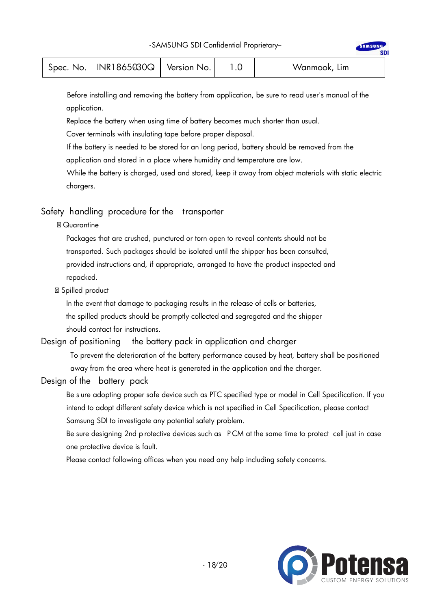| Spec. No. $\vert$ INR1865030Q $\vert$ Version No. | Wanmook, Lim |  |
|---------------------------------------------------|--------------|--|
|---------------------------------------------------|--------------|--|

Before installing and removing the battery from application, be sure to read user's manual of the application.

Replace the battery when using time of battery becomes much shorter than usual.

Cover terminals with insulating tape before proper disposal.

If the battery is needed to be stored for an long period, battery should be removed from the application and stored in a place where humidity and temperature are low.

While the battery is charged, used and stored, keep it away from object materials with static electric chargers.

#### Safety handling procedure for the transporter

#### **Quarantine**

Packages that are crushed, punctured or torn open to reveal contents should not be transported. Such packages should be isolated until the shipper has been consulted, provided instructions and, if appropriate, arranged to have the product inspected and repacked.

#### Spilled product

In the event that damage to packaging results in the release of cells or batteries, the spilled products should be promptly collected and segregated and the shipper should contact for instructions.

#### Design of positioning the battery pack in application and charger

To prevent the deterioration of the battery performance caused by heat, battery shall be positioned away from the area where heat is generated in the application and the charger.

### Design of the battery pack

Be s ure adopting proper safe device such as PTC specified type or model in Cell Specification. If you intend to adopt different safety device which is not specified in Cell Specification, please contact Samsung SDI to investigate any potential safety problem.

Be sure designing 2nd p rotective devices such as P CM at the same time to protect cell just in case one protective device is fault.

Please contact following offices when you need any help including safety concerns.